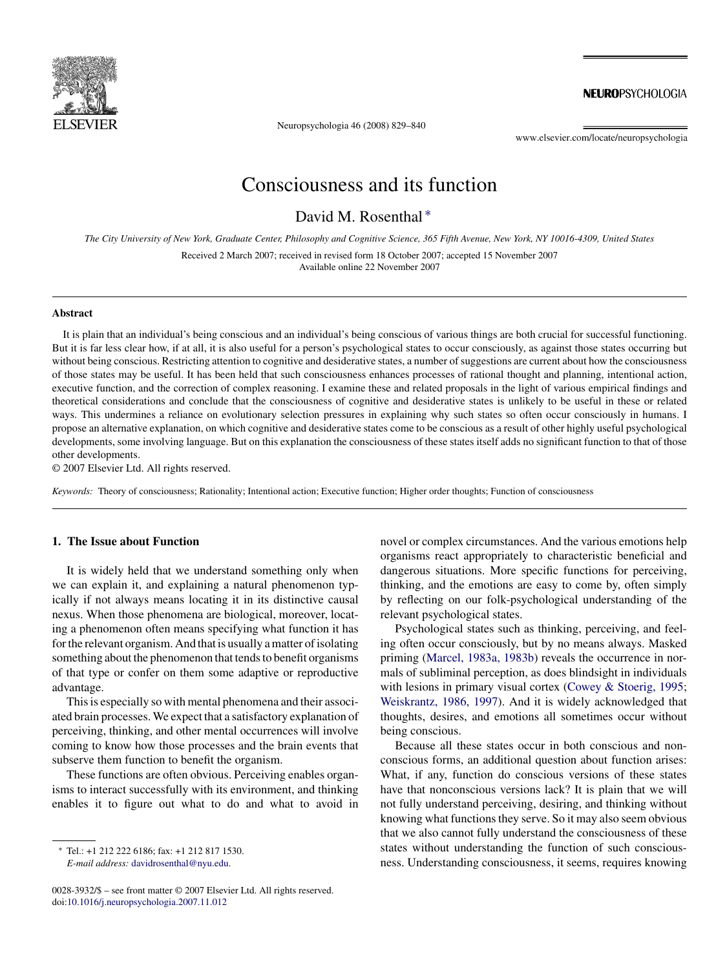

NEUROPSYCHOLOGIA

Neuropsychologia 46 (2008) 829–840

www.elsevier.com/locate/neuropsychologia

# Consciousness and its function

David M. Rosenthal<sup>\*</sup>

*The City University of New York, Graduate Center, Philosophy and Cognitive Science, 365 Fifth Avenue, New York, NY 10016-4309, United States*

Received 2 March 2007; received in revised form 18 October 2007; accepted 15 November 2007

Available online 22 November 2007

#### **Abstract**

It is plain that an individual's being conscious and an individual's being conscious of various things are both crucial for successful functioning. But it is far less clear how, if at all, it is also useful for a person's psychological states to occur consciously, as against those states occurring but without being conscious. Restricting attention to cognitive and desiderative states, a number of suggestions are current about how the consciousness of those states may be useful. It has been held that such consciousness enhances processes of rational thought and planning, intentional action, executive function, and the correction of complex reasoning. I examine these and related proposals in the light of various empirical findings and theoretical considerations and conclude that the consciousness of cognitive and desiderative states is unlikely to be useful in these or related ways. This undermines a reliance on evolutionary selection pressures in explaining why such states so often occur consciously in humans. I propose an alternative explanation, on which cognitive and desiderative states come to be conscious as a result of other highly useful psychological developments, some involving language. But on this explanation the consciousness of these states itself adds no significant function to that of those other developments.

© 2007 Elsevier Ltd. All rights reserved.

*Keywords:* Theory of consciousness; Rationality; Intentional action; Executive function; Higher order thoughts; Function of consciousness

# **1. The Issue about Function**

It is widely held that we understand something only when we can explain it, and explaining a natural phenomenon typically if not always means locating it in its distinctive causal nexus. When those phenomena are biological, moreover, locating a phenomenon often means specifying what function it has for the relevant organism. And that is usually a matter of isolating something about the phenomenon that tends to benefit organisms of that type or confer on them some adaptive or reproductive advantage.

This is especially so with mental phenomena and their associated brain processes. We expect that a satisfactory explanation of perceiving, thinking, and other mental occurrences will involve coming to know how those processes and the brain events that subserve them function to benefit the organism.

These functions are often obvious. Perceiving enables organisms to interact successfully with its environment, and thinking enables it to figure out what to do and what to avoid in

0028-3932/\$ – see front matter © 2007 Elsevier Ltd. All rights reserved. doi[:10.1016/j.neuropsychologia.2007.11.012](dx.doi.org/10.1016/j.neuropsychologia.2007.11.012)

novel or complex circumstances. And the various emotions help organisms react appropriately to characteristic beneficial and dangerous situations. More specific functions for perceiving, thinking, and the emotions are easy to come by, often simply by reflecting on our folk-psychological understanding of the relevant psychological states.

Psychological states such as thinking, perceiving, and feeling often occur consciously, but by no means always. Masked priming [\(Marcel, 1983a, 1983b\)](#page-11-0) reveals the occurrence in normals of subliminal perception, as does blindsight in individuals with lesions in primary visual cortex ([Cowey & Stoerig, 1995;](#page-10-0) [Weiskrantz, 1986, 1997\).](#page-11-0) And it is widely acknowledged that thoughts, desires, and emotions all sometimes occur without being conscious.

Because all these states occur in both conscious and nonconscious forms, an additional question about function arises: What, if any, function do conscious versions of these states have that nonconscious versions lack? It is plain that we will not fully understand perceiving, desiring, and thinking without knowing what functions they serve. So it may also seem obvious that we also cannot fully understand the consciousness of these states without understanding the function of such consciousness. Understanding consciousness, it seems, requires knowing

Tel.: +1 212 222 6186; fax: +1 212 817 1530.

*E-mail address:* [davidrosenthal@nyu.edu](mailto:davidrosenthal@nyu.edu).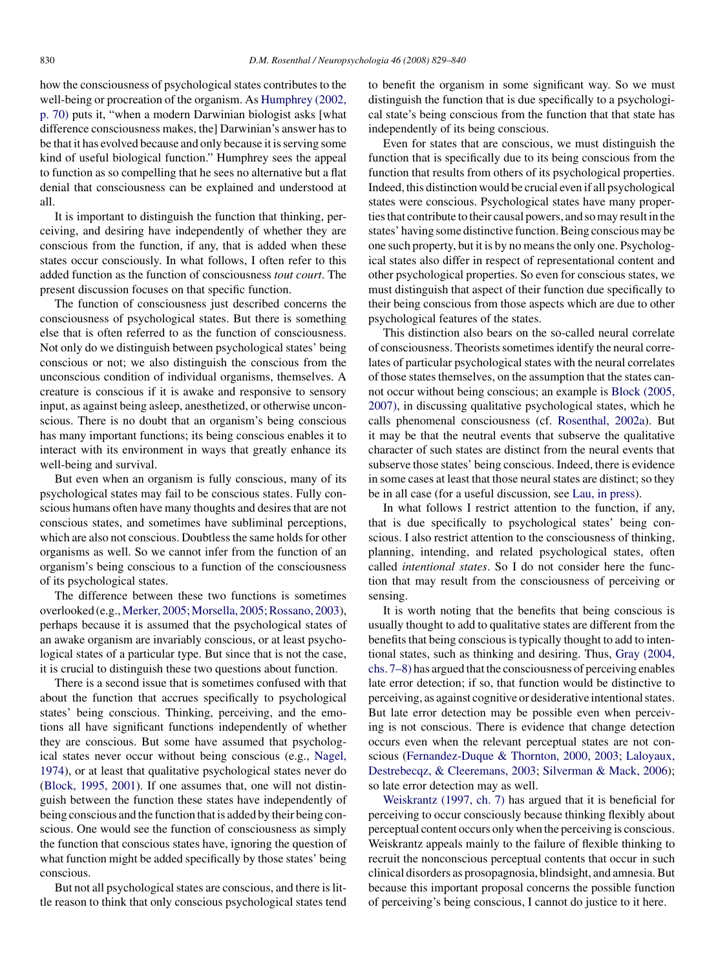how the consciousness of psychological states contributes to the well-being or procreation of the organism. As [Humphrey \(2002,](#page-10-0) [p. 70\)](#page-10-0) puts it, "when a modern Darwinian biologist asks [what difference consciousness makes, the] Darwinian's answer has to be that it has evolved because and only because it is serving some kind of useful biological function." Humphrey sees the appeal to function as so compelling that he sees no alternative but a flat denial that consciousness can be explained and understood at all.

It is important to distinguish the function that thinking, perceiving, and desiring have independently of whether they are conscious from the function, if any, that is added when these states occur consciously. In what follows, I often refer to this added function as the function of consciousness *tout court*. The present discussion focuses on that specific function.

The function of consciousness just described concerns the consciousness of psychological states. But there is something else that is often referred to as the function of consciousness. Not only do we distinguish between psychological states' being conscious or not; we also distinguish the conscious from the unconscious condition of individual organisms, themselves. A creature is conscious if it is awake and responsive to sensory input, as against being asleep, anesthetized, or otherwise unconscious. There is no doubt that an organism's being conscious has many important functions; its being conscious enables it to interact with its environment in ways that greatly enhance its well-being and survival.

But even when an organism is fully conscious, many of its psychological states may fail to be conscious states. Fully conscious humans often have many thoughts and desires that are not conscious states, and sometimes have subliminal perceptions, which are also not conscious. Doubtless the same holds for other organisms as well. So we cannot infer from the function of an organism's being conscious to a function of the consciousness of its psychological states.

The difference between these two functions is sometimes overlooked (e.g.,[Merker, 2005; Morsella, 2005; Rossano, 2003\),](#page-11-0) perhaps because it is assumed that the psychological states of an awake organism are invariably conscious, or at least psychological states of a particular type. But since that is not the case, it is crucial to distinguish these two questions about function.

There is a second issue that is sometimes confused with that about the function that accrues specifically to psychological states' being conscious. Thinking, perceiving, and the emotions all have significant functions independently of whether they are conscious. But some have assumed that psychological states never occur without being conscious (e.g., [Nagel,](#page-11-0) [1974\),](#page-11-0) or at least that qualitative psychological states never do [\(Block, 1995, 2001\).](#page-10-0) If one assumes that, one will not distinguish between the function these states have independently of being conscious and the function that is added by their being conscious. One would see the function of consciousness as simply the function that conscious states have, ignoring the question of what function might be added specifically by those states' being conscious.

But not all psychological states are conscious, and there is little reason to think that only conscious psychological states tend to benefit the organism in some significant way. So we must distinguish the function that is due specifically to a psychological state's being conscious from the function that that state has independently of its being conscious.

Even for states that are conscious, we must distinguish the function that is specifically due to its being conscious from the function that results from others of its psychological properties. Indeed, this distinction would be crucial even if all psychological states were conscious. Psychological states have many properties that contribute to their causal powers, and so may result in the states' having some distinctive function. Being conscious may be one such property, but it is by no means the only one. Psychological states also differ in respect of representational content and other psychological properties. So even for conscious states, we must distinguish that aspect of their function due specifically to their being conscious from those aspects which are due to other psychological features of the states.

This distinction also bears on the so-called neural correlate of consciousness. Theorists sometimes identify the neural correlates of particular psychological states with the neural correlates of those states themselves, on the assumption that the states cannot occur without being conscious; an example is [Block \(2005,](#page-10-0) [2007\),](#page-10-0) in discussing qualitative psychological states, which he calls phenomenal consciousness (cf. [Rosenthal, 2002a\).](#page-11-0) But it may be that the neutral events that subserve the qualitative character of such states are distinct from the neural events that subserve those states' being conscious. Indeed, there is evidence in some cases at least that those neural states are distinct; so they be in all case (for a useful discussion, see [Lau, in press\).](#page-10-0)

In what follows I restrict attention to the function, if any, that is due specifically to psychological states' being conscious. I also restrict attention to the consciousness of thinking, planning, intending, and related psychological states, often called *intentional states*. So I do not consider here the function that may result from the consciousness of perceiving or sensing.

It is worth noting that the benefits that being conscious is usually thought to add to qualitative states are different from the benefits that being conscious is typically thought to add to intentional states, such as thinking and desiring. Thus, [Gray \(2004,](#page-10-0) [chs. 7–8\)](#page-10-0) has argued that the consciousness of perceiving enables late error detection; if so, that function would be distinctive to perceiving, as against cognitive or desiderative intentional states. But late error detection may be possible even when perceiving is not conscious. There is evidence that change detection occurs even when the relevant perceptual states are not conscious [\(Fernandez-Duque & Thornton, 2000, 2003;](#page-10-0) [Laloyaux,](#page-10-0) [Destrebecqz, & Cleeremans, 2003;](#page-10-0) [Silverman & Mack, 2006\);](#page-11-0) so late error detection may as well.

[Weiskrantz \(1997, ch. 7\)](#page-11-0) has argued that it is beneficial for perceiving to occur consciously because thinking flexibly about perceptual content occurs only when the perceiving is conscious. Weiskrantz appeals mainly to the failure of flexible thinking to recruit the nonconscious perceptual contents that occur in such clinical disorders as prosopagnosia, blindsight, and amnesia. But because this important proposal concerns the possible function of perceiving's being conscious, I cannot do justice to it here.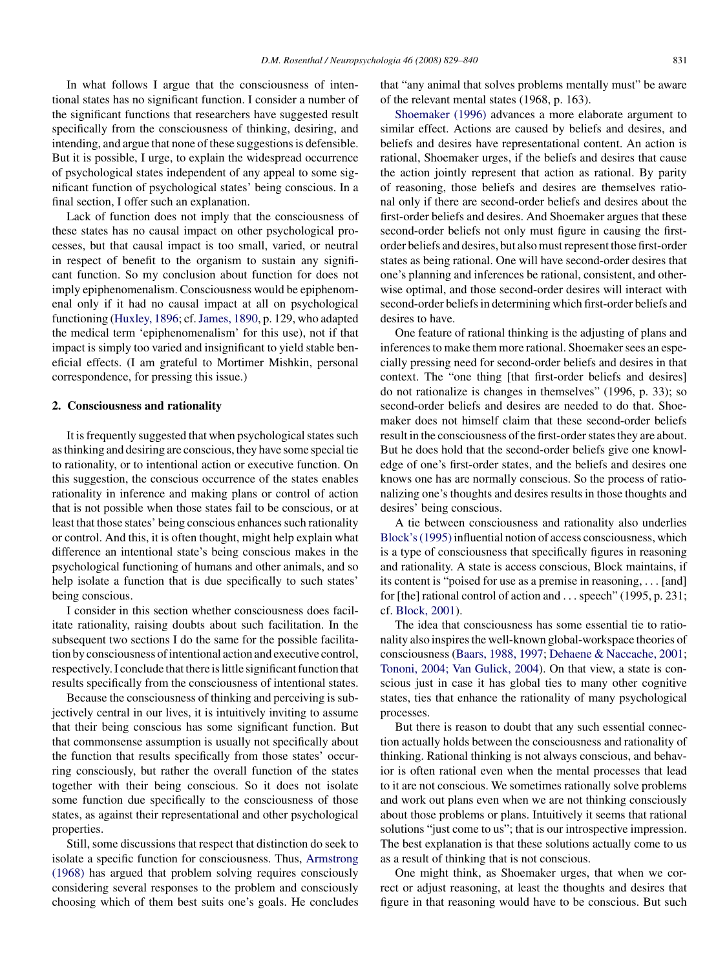In what follows I argue that the consciousness of intentional states has no significant function. I consider a number of the significant functions that researchers have suggested result specifically from the consciousness of thinking, desiring, and intending, and argue that none of these suggestions is defensible. But it is possible, I urge, to explain the widespread occurrence of psychological states independent of any appeal to some significant function of psychological states' being conscious. In a final section, I offer such an explanation.

Lack of function does not imply that the consciousness of these states has no causal impact on other psychological processes, but that causal impact is too small, varied, or neutral in respect of benefit to the organism to sustain any significant function. So my conclusion about function for does not imply epiphenomenalism. Consciousness would be epiphenomenal only if it had no causal impact at all on psychological functioning ([Huxley, 1896; c](#page-10-0)f.[James, 1890, p](#page-10-0). 129, who adapted the medical term 'epiphenomenalism' for this use), not if that impact is simply too varied and insignificant to yield stable beneficial effects. (I am grateful to Mortimer Mishkin, personal correspondence, for pressing this issue.)

#### **2. Consciousness and rationality**

It is frequently suggested that when psychological states such as thinking and desiring are conscious, they have some special tie to rationality, or to intentional action or executive function. On this suggestion, the conscious occurrence of the states enables rationality in inference and making plans or control of action that is not possible when those states fail to be conscious, or at least that those states' being conscious enhances such rationality or control. And this, it is often thought, might help explain what difference an intentional state's being conscious makes in the psychological functioning of humans and other animals, and so help isolate a function that is due specifically to such states' being conscious.

I consider in this section whether consciousness does facilitate rationality, raising doubts about such facilitation. In the subsequent two sections I do the same for the possible facilitation by consciousness of intentional action and executive control, respectively. I conclude that there is little significant function that results specifically from the consciousness of intentional states.

Because the consciousness of thinking and perceiving is subjectively central in our lives, it is intuitively inviting to assume that their being conscious has some significant function. But that commonsense assumption is usually not specifically about the function that results specifically from those states' occurring consciously, but rather the overall function of the states together with their being conscious. So it does not isolate some function due specifically to the consciousness of those states, as against their representational and other psychological properties.

Still, some discussions that respect that distinction do seek to isolate a specific function for consciousness. Thus, [Armstrong](#page-10-0) [\(1968\)](#page-10-0) has argued that problem solving requires consciously considering several responses to the problem and consciously choosing which of them best suits one's goals. He concludes that "any animal that solves problems mentally must" be aware of the relevant mental states (1968, p. 163).

[Shoemaker \(1996\)](#page-11-0) advances a more elaborate argument to similar effect. Actions are caused by beliefs and desires, and beliefs and desires have representational content. An action is rational, Shoemaker urges, if the beliefs and desires that cause the action jointly represent that action as rational. By parity of reasoning, those beliefs and desires are themselves rational only if there are second-order beliefs and desires about the first-order beliefs and desires. And Shoemaker argues that these second-order beliefs not only must figure in causing the firstorder beliefs and desires, but also must represent those first-order states as being rational. One will have second-order desires that one's planning and inferences be rational, consistent, and otherwise optimal, and those second-order desires will interact with second-order beliefs in determining which first-order beliefs and desires to have.

One feature of rational thinking is the adjusting of plans and inferences to make them more rational. Shoemaker sees an especially pressing need for second-order beliefs and desires in that context. The "one thing [that first-order beliefs and desires] do not rationalize is changes in themselves" (1996, p. 33); so second-order beliefs and desires are needed to do that. Shoemaker does not himself claim that these second-order beliefs result in the consciousness of the first-order states they are about. But he does hold that the second-order beliefs give one knowledge of one's first-order states, and the beliefs and desires one knows one has are normally conscious. So the process of rationalizing one's thoughts and desires results in those thoughts and desires' being conscious.

A tie between consciousness and rationality also underlies Block's (1995) influential notion of access consciousness, which is a type of consciousness that specifically figures in reasoning and rationality. A state is access conscious, Block maintains, if its content is "poised for use as a premise in reasoning, ... [and] for [the] rational control of action and ... speech" (1995, p. 231; cf. [Block, 2001\).](#page-10-0)

The idea that consciousness has some essential tie to rationality also inspires the well-known global-workspace theories of consciousness [\(Baars, 1988, 1997;](#page-10-0) [Dehaene & Naccache, 2001;](#page-10-0) [Tononi, 2004; Van Gulick, 2004\).](#page-11-0) On that view, a state is conscious just in case it has global ties to many other cognitive states, ties that enhance the rationality of many psychological processes.

But there is reason to doubt that any such essential connection actually holds between the consciousness and rationality of thinking. Rational thinking is not always conscious, and behavior is often rational even when the mental processes that lead to it are not conscious. We sometimes rationally solve problems and work out plans even when we are not thinking consciously about those problems or plans. Intuitively it seems that rational solutions "just come to us"; that is our introspective impression. The best explanation is that these solutions actually come to us as a result of thinking that is not conscious.

One might think, as Shoemaker urges, that when we correct or adjust reasoning, at least the thoughts and desires that figure in that reasoning would have to be conscious. But such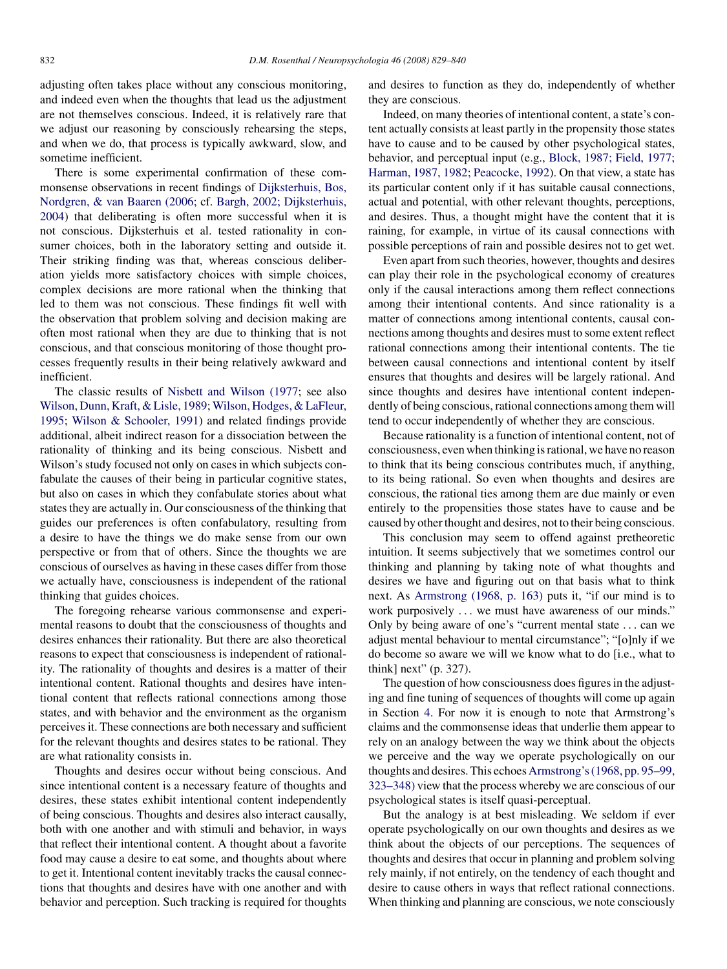adjusting often takes place without any conscious monitoring, and indeed even when the thoughts that lead us the adjustment are not themselves conscious. Indeed, it is relatively rare that we adjust our reasoning by consciously rehearsing the steps, and when we do, that process is typically awkward, slow, and sometime inefficient.

There is some experimental confirmation of these commonsense observations in recent findings of [Dijksterhuis, Bos,](#page-10-0) [Nordgren, & van Baaren \(2006;](#page-10-0) cf. [Bargh, 2002; Dijksterhuis,](#page-10-0) [2004\)](#page-10-0) that deliberating is often more successful when it is not conscious. Dijksterhuis et al. tested rationality in consumer choices, both in the laboratory setting and outside it. Their striking finding was that, whereas conscious deliberation yields more satisfactory choices with simple choices, complex decisions are more rational when the thinking that led to them was not conscious. These findings fit well with the observation that problem solving and decision making are often most rational when they are due to thinking that is not conscious, and that conscious monitoring of those thought processes frequently results in their being relatively awkward and inefficient.

The classic results of [Nisbett and Wilson \(1977;](#page-11-0) see also Wilson, Dunn, Kraft, & Lisle, 1989; Wilson, Hodges, & LaFleur, [1995;](#page-11-0) [Wilson & Schooler, 1991\)](#page-11-0) and related findings provide additional, albeit indirect reason for a dissociation between the rationality of thinking and its being conscious. Nisbett and Wilson's study focused not only on cases in which subjects confabulate the causes of their being in particular cognitive states, but also on cases in which they confabulate stories about what states they are actually in. Our consciousness of the thinking that guides our preferences is often confabulatory, resulting from a desire to have the things we do make sense from our own perspective or from that of others. Since the thoughts we are conscious of ourselves as having in these cases differ from those we actually have, consciousness is independent of the rational thinking that guides choices.

The foregoing rehearse various commonsense and experimental reasons to doubt that the consciousness of thoughts and desires enhances their rationality. But there are also theoretical reasons to expect that consciousness is independent of rationality. The rationality of thoughts and desires is a matter of their intentional content. Rational thoughts and desires have intentional content that reflects rational connections among those states, and with behavior and the environment as the organism perceives it. These connections are both necessary and sufficient for the relevant thoughts and desires states to be rational. They are what rationality consists in.

Thoughts and desires occur without being conscious. And since intentional content is a necessary feature of thoughts and desires, these states exhibit intentional content independently of being conscious. Thoughts and desires also interact causally, both with one another and with stimuli and behavior, in ways that reflect their intentional content. A thought about a favorite food may cause a desire to eat some, and thoughts about where to get it. Intentional content inevitably tracks the causal connections that thoughts and desires have with one another and with behavior and perception. Such tracking is required for thoughts

and desires to function as they do, independently of whether they are conscious.

Indeed, on many theories of intentional content, a state's content actually consists at least partly in the propensity those states have to cause and to be caused by other psychological states, behavior, and perceptual input (e.g., [Block, 1987; Field, 1977;](#page-10-0) [Harman, 1987, 1982; Peacocke, 1992\).](#page-10-0) On that view, a state has its particular content only if it has suitable causal connections, actual and potential, with other relevant thoughts, perceptions, and desires. Thus, a thought might have the content that it is raining, for example, in virtue of its causal connections with possible perceptions of rain and possible desires not to get wet.

Even apart from such theories, however, thoughts and desires can play their role in the psychological economy of creatures only if the causal interactions among them reflect connections among their intentional contents. And since rationality is a matter of connections among intentional contents, causal connections among thoughts and desires must to some extent reflect rational connections among their intentional contents. The tie between causal connections and intentional content by itself ensures that thoughts and desires will be largely rational. And since thoughts and desires have intentional content independently of being conscious, rational connections among them will tend to occur independently of whether they are conscious.

Because rationality is a function of intentional content, not of consciousness, even when thinking is rational, we have no reason to think that its being conscious contributes much, if anything, to its being rational. So even when thoughts and desires are conscious, the rational ties among them are due mainly or even entirely to the propensities those states have to cause and be caused by other thought and desires, not to their being conscious.

This conclusion may seem to offend against pretheoretic intuition. It seems subjectively that we sometimes control our thinking and planning by taking note of what thoughts and desires we have and figuring out on that basis what to think next. As [Armstrong \(1968, p. 163\)](#page-10-0) puts it, "if our mind is to work purposively ... we must have awareness of our minds." Only by being aware of one's "current mental state ... can we adjust mental behaviour to mental circumstance"; "[o]nly if we do become so aware we will we know what to do [i.e., what to think] next" (p. 327).

The question of how consciousness does figures in the adjusting and fine tuning of sequences of thoughts will come up again in Section [4.](#page-5-0) For now it is enough to note that Armstrong's claims and the commonsense ideas that underlie them appear to rely on an analogy between the way we think about the objects we perceive and the way we operate psychologically on our thoughts and desires. This echoes [Armstrong's \(1968, pp. 95–99,](#page-10-0) [323–348\)](#page-10-0) view that the process whereby we are conscious of our psychological states is itself quasi-perceptual.

But the analogy is at best misleading. We seldom if ever operate psychologically on our own thoughts and desires as we think about the objects of our perceptions. The sequences of thoughts and desires that occur in planning and problem solving rely mainly, if not entirely, on the tendency of each thought and desire to cause others in ways that reflect rational connections. When thinking and planning are conscious, we note consciously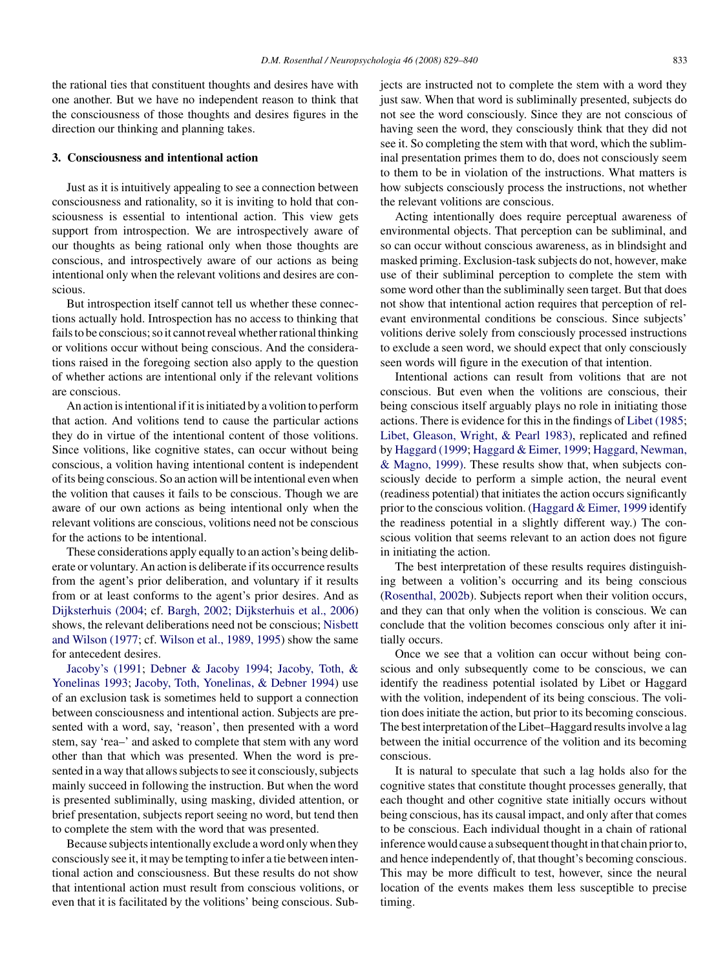the rational ties that constituent thoughts and desires have with one another. But we have no independent reason to think that the consciousness of those thoughts and desires figures in the direction our thinking and planning takes.

# **3. Consciousness and intentional action**

Just as it is intuitively appealing to see a connection between consciousness and rationality, so it is inviting to hold that consciousness is essential to intentional action. This view gets support from introspection. We are introspectively aware of our thoughts as being rational only when those thoughts are conscious, and introspectively aware of our actions as being intentional only when the relevant volitions and desires are conscious.

But introspection itself cannot tell us whether these connections actually hold. Introspection has no access to thinking that fails to be conscious; so it cannot reveal whether rational thinking or volitions occur without being conscious. And the considerations raised in the foregoing section also apply to the question of whether actions are intentional only if the relevant volitions are conscious.

An action is intentional if it is initiated by a volition to perform that action. And volitions tend to cause the particular actions they do in virtue of the intentional content of those volitions. Since volitions, like cognitive states, can occur without being conscious, a volition having intentional content is independent of its being conscious. So an action will be intentional even when the volition that causes it fails to be conscious. Though we are aware of our own actions as being intentional only when the relevant volitions are conscious, volitions need not be conscious for the actions to be intentional.

These considerations apply equally to an action's being deliberate or voluntary. An action is deliberate if its occurrence results from the agent's prior deliberation, and voluntary if it results from or at least conforms to the agent's prior desires. And as [Dijksterhuis \(2004;](#page-10-0) cf. [Bargh, 2002; Dijksterhuis et al., 2006\)](#page-10-0) shows, the relevant deliberations need not be conscious; [Nisbett](#page-11-0) [and Wilson \(1977;](#page-11-0) cf. [Wilson et al., 1989, 1995\)](#page-11-0) show the same for antecedent desires.

[Jacoby's \(1991;](#page-10-0) [Debner & Jacoby 1994;](#page-10-0) [Jacoby, Toth, &](#page-10-0) [Yonelinas 1993;](#page-10-0) [Jacoby, Toth, Yonelinas, & Debner 1994\)](#page-10-0) use of an exclusion task is sometimes held to support a connection between consciousness and intentional action. Subjects are presented with a word, say, 'reason', then presented with a word stem, say 'rea–' and asked to complete that stem with any word other than that which was presented. When the word is presented in a way that allows subjects to see it consciously, subjects mainly succeed in following the instruction. But when the word is presented subliminally, using masking, divided attention, or brief presentation, subjects report seeing no word, but tend then to complete the stem with the word that was presented.

Because subjects intentionally exclude a word only when they consciously see it, it may be tempting to infer a tie between intentional action and consciousness. But these results do not show that intentional action must result from conscious volitions, or even that it is facilitated by the volitions' being conscious. Subjects are instructed not to complete the stem with a word they just saw. When that word is subliminally presented, subjects do not see the word consciously. Since they are not conscious of having seen the word, they consciously think that they did not see it. So completing the stem with that word, which the subliminal presentation primes them to do, does not consciously seem to them to be in violation of the instructions. What matters is how subjects consciously process the instructions, not whether the relevant volitions are conscious.

Acting intentionally does require perceptual awareness of environmental objects. That perception can be subliminal, and so can occur without conscious awareness, as in blindsight and masked priming. Exclusion-task subjects do not, however, make use of their subliminal perception to complete the stem with some word other than the subliminally seen target. But that does not show that intentional action requires that perception of relevant environmental conditions be conscious. Since subjects' volitions derive solely from consciously processed instructions to exclude a seen word, we should expect that only consciously seen words will figure in the execution of that intention.

Intentional actions can result from volitions that are not conscious. But even when the volitions are conscious, their being conscious itself arguably plays no role in initiating those actions. There is evidence for this in the findings of [Libet \(1985;](#page-11-0) [Libet, Gleason, Wright, & Pearl 1983\),](#page-11-0) replicated and refined by [Haggard \(1999;](#page-10-0) [Haggard & Eimer, 1999;](#page-10-0) [Haggard, Newman,](#page-10-0) [& Magno, 1999\).](#page-10-0) These results show that, when subjects consciously decide to perform a simple action, the neural event (readiness potential) that initiates the action occurs significantly prior to the conscious volition. ([Haggard & Eimer, 1999](#page-10-0) identify the readiness potential in a slightly different way.) The conscious volition that seems relevant to an action does not figure in initiating the action.

The best interpretation of these results requires distinguishing between a volition's occurring and its being conscious ([Rosenthal, 2002b\).](#page-11-0) Subjects report when their volition occurs, and they can that only when the volition is conscious. We can conclude that the volition becomes conscious only after it initially occurs.

Once we see that a volition can occur without being conscious and only subsequently come to be conscious, we can identify the readiness potential isolated by Libet or Haggard with the volition, independent of its being conscious. The volition does initiate the action, but prior to its becoming conscious. The best interpretation of the Libet–Haggard results involve a lag between the initial occurrence of the volition and its becoming conscious.

It is natural to speculate that such a lag holds also for the cognitive states that constitute thought processes generally, that each thought and other cognitive state initially occurs without being conscious, has its causal impact, and only after that comes to be conscious. Each individual thought in a chain of rational inference would cause a subsequent thought in that chain prior to, and hence independently of, that thought's becoming conscious. This may be more difficult to test, however, since the neural location of the events makes them less susceptible to precise timing.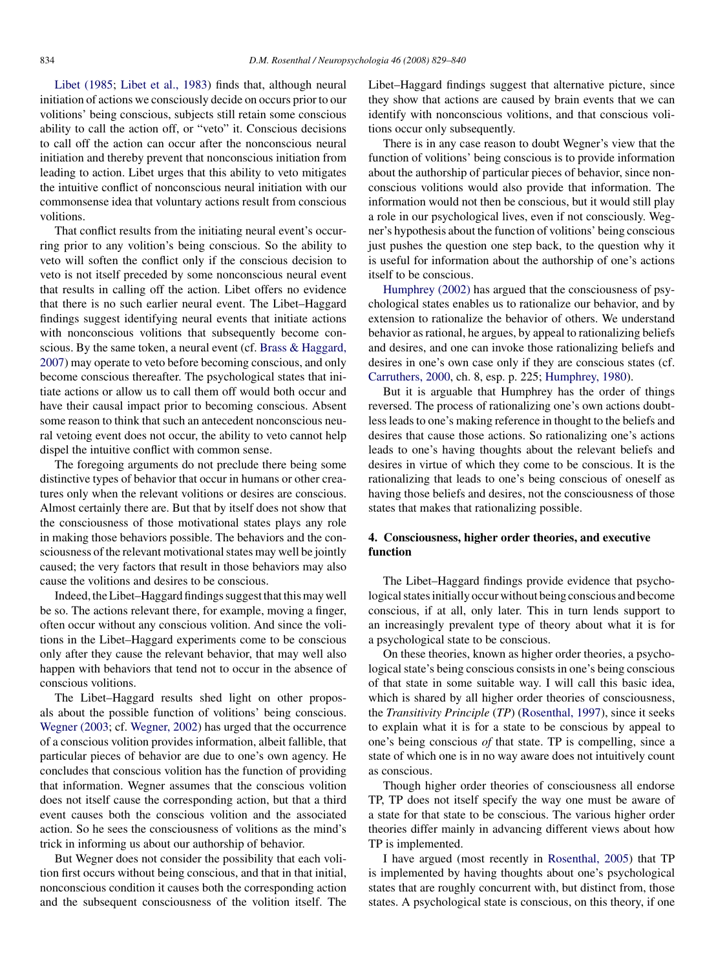<span id="page-5-0"></span>[Libet \(1985;](#page-11-0) [Libet et al., 1983\)](#page-11-0) finds that, although neural initiation of actions we consciously decide on occurs prior to our volitions' being conscious, subjects still retain some conscious ability to call the action off, or "veto" it. Conscious decisions to call off the action can occur after the nonconscious neural initiation and thereby prevent that nonconscious initiation from leading to action. Libet urges that this ability to veto mitigates the intuitive conflict of nonconscious neural initiation with our commonsense idea that voluntary actions result from conscious volitions.

That conflict results from the initiating neural event's occurring prior to any volition's being conscious. So the ability to veto will soften the conflict only if the conscious decision to veto is not itself preceded by some nonconscious neural event that results in calling off the action. Libet offers no evidence that there is no such earlier neural event. The Libet–Haggard findings suggest identifying neural events that initiate actions with nonconscious volitions that subsequently become conscious. By the same token, a neural event (cf. [Brass & Haggard,](#page-10-0) [2007\)](#page-10-0) may operate to veto before becoming conscious, and only become conscious thereafter. The psychological states that initiate actions or allow us to call them off would both occur and have their causal impact prior to becoming conscious. Absent some reason to think that such an antecedent nonconscious neural vetoing event does not occur, the ability to veto cannot help dispel the intuitive conflict with common sense.

The foregoing arguments do not preclude there being some distinctive types of behavior that occur in humans or other creatures only when the relevant volitions or desires are conscious. Almost certainly there are. But that by itself does not show that the consciousness of those motivational states plays any role in making those behaviors possible. The behaviors and the consciousness of the relevant motivational states may well be jointly caused; the very factors that result in those behaviors may also cause the volitions and desires to be conscious.

Indeed, the Libet–Haggard findings suggest that this may well be so. The actions relevant there, for example, moving a finger, often occur without any conscious volition. And since the volitions in the Libet–Haggard experiments come to be conscious only after they cause the relevant behavior, that may well also happen with behaviors that tend not to occur in the absence of conscious volitions.

The Libet–Haggard results shed light on other proposals about the possible function of volitions' being conscious. [Wegner \(2003;](#page-11-0) cf. [Wegner, 2002\)](#page-11-0) has urged that the occurrence of a conscious volition provides information, albeit fallible, that particular pieces of behavior are due to one's own agency. He concludes that conscious volition has the function of providing that information. Wegner assumes that the conscious volition does not itself cause the corresponding action, but that a third event causes both the conscious volition and the associated action. So he sees the consciousness of volitions as the mind's trick in informing us about our authorship of behavior.

But Wegner does not consider the possibility that each volition first occurs without being conscious, and that in that initial, nonconscious condition it causes both the corresponding action and the subsequent consciousness of the volition itself. The

Libet–Haggard findings suggest that alternative picture, since they show that actions are caused by brain events that we can identify with nonconscious volitions, and that conscious volitions occur only subsequently.

There is in any case reason to doubt Wegner's view that the function of volitions' being conscious is to provide information about the authorship of particular pieces of behavior, since nonconscious volitions would also provide that information. The information would not then be conscious, but it would still play a role in our psychological lives, even if not consciously. Wegner's hypothesis about the function of volitions' being conscious just pushes the question one step back, to the question why it is useful for information about the authorship of one's actions itself to be conscious.

[Humphrey \(2002\)](#page-10-0) has argued that the consciousness of psychological states enables us to rationalize our behavior, and by extension to rationalize the behavior of others. We understand behavior as rational, he argues, by appeal to rationalizing beliefs and desires, and one can invoke those rationalizing beliefs and desires in one's own case only if they are conscious states (cf. [Carruthers, 2000, c](#page-10-0)h. 8, esp. p. 225; [Humphrey, 1980\).](#page-10-0)

But it is arguable that Humphrey has the order of things reversed. The process of rationalizing one's own actions doubtless leads to one's making reference in thought to the beliefs and desires that cause those actions. So rationalizing one's actions leads to one's having thoughts about the relevant beliefs and desires in virtue of which they come to be conscious. It is the rationalizing that leads to one's being conscious of oneself as having those beliefs and desires, not the consciousness of those states that makes that rationalizing possible.

# **4. Consciousness, higher order theories, and executive function**

The Libet–Haggard findings provide evidence that psychological states initially occur without being conscious and become conscious, if at all, only later. This in turn lends support to an increasingly prevalent type of theory about what it is for a psychological state to be conscious.

On these theories, known as higher order theories, a psychological state's being conscious consists in one's being conscious of that state in some suitable way. I will call this basic idea, which is shared by all higher order theories of consciousness, the *Transitivity Principle* (*TP*) ([Rosenthal, 1997\),](#page-11-0) since it seeks to explain what it is for a state to be conscious by appeal to one's being conscious *of* that state. TP is compelling, since a state of which one is in no way aware does not intuitively count as conscious.

Though higher order theories of consciousness all endorse TP, TP does not itself specify the way one must be aware of a state for that state to be conscious. The various higher order theories differ mainly in advancing different views about how TP is implemented.

I have argued (most recently in [Rosenthal, 2005\)](#page-11-0) that TP is implemented by having thoughts about one's psychological states that are roughly concurrent with, but distinct from, those states. A psychological state is conscious, on this theory, if one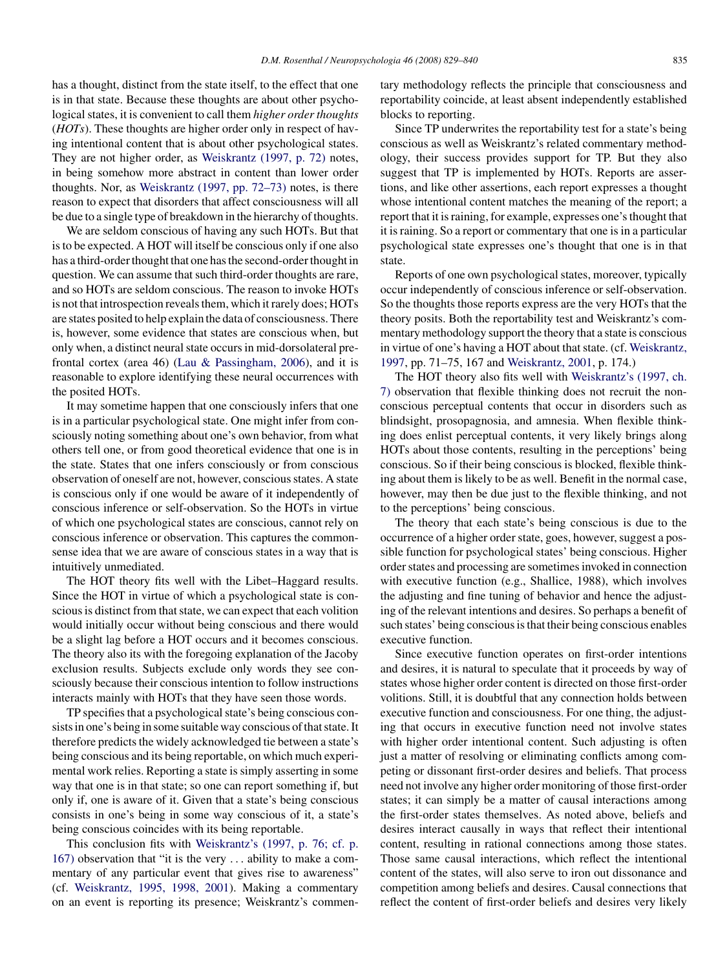has a thought, distinct from the state itself, to the effect that one is in that state. Because these thoughts are about other psychological states, it is convenient to call them *higher order thoughts* (*HOTs*). These thoughts are higher order only in respect of having intentional content that is about other psychological states. They are not higher order, as [Weiskrantz \(1997, p. 72\)](#page-11-0) notes, in being somehow more abstract in content than lower order thoughts. Nor, as [Weiskrantz \(1997, pp. 72–73\)](#page-11-0) notes, is there reason to expect that disorders that affect consciousness will all be due to a single type of breakdown in the hierarchy of thoughts.

We are seldom conscious of having any such HOTs. But that is to be expected. A HOT will itself be conscious only if one also has a third-order thought that one has the second-order thought in question. We can assume that such third-order thoughts are rare, and so HOTs are seldom conscious. The reason to invoke HOTs is not that introspection reveals them, which it rarely does; HOTs are states posited to help explain the data of consciousness. There is, however, some evidence that states are conscious when, but only when, a distinct neural state occurs in mid-dorsolateral prefrontal cortex (area 46) ([Lau & Passingham, 2006\),](#page-11-0) and it is reasonable to explore identifying these neural occurrences with the posited HOTs.

It may sometime happen that one consciously infers that one is in a particular psychological state. One might infer from consciously noting something about one's own behavior, from what others tell one, or from good theoretical evidence that one is in the state. States that one infers consciously or from conscious observation of oneself are not, however, conscious states. A state is conscious only if one would be aware of it independently of conscious inference or self-observation. So the HOTs in virtue of which one psychological states are conscious, cannot rely on conscious inference or observation. This captures the commonsense idea that we are aware of conscious states in a way that is intuitively unmediated.

The HOT theory fits well with the Libet–Haggard results. Since the HOT in virtue of which a psychological state is conscious is distinct from that state, we can expect that each volition would initially occur without being conscious and there would be a slight lag before a HOT occurs and it becomes conscious. The theory also its with the foregoing explanation of the Jacoby exclusion results. Subjects exclude only words they see consciously because their conscious intention to follow instructions interacts mainly with HOTs that they have seen those words.

TP specifies that a psychological state's being conscious consists in one's being in some suitable way conscious of that state. It therefore predicts the widely acknowledged tie between a state's being conscious and its being reportable, on which much experimental work relies. Reporting a state is simply asserting in some way that one is in that state; so one can report something if, but only if, one is aware of it. Given that a state's being conscious consists in one's being in some way conscious of it, a state's being conscious coincides with its being reportable.

This conclusion fits with [Weiskrantz's \(1997, p. 76; cf. p.](#page-11-0) [167\)](#page-11-0) observation that "it is the very ... ability to make a commentary of any particular event that gives rise to awareness" (cf. [Weiskrantz, 1995, 1998, 2001\).](#page-11-0) Making a commentary on an event is reporting its presence; Weiskrantz's commentary methodology reflects the principle that consciousness and reportability coincide, at least absent independently established blocks to reporting.

Since TP underwrites the reportability test for a state's being conscious as well as Weiskrantz's related commentary methodology, their success provides support for TP. But they also suggest that TP is implemented by HOTs. Reports are assertions, and like other assertions, each report expresses a thought whose intentional content matches the meaning of the report; a report that it is raining, for example, expresses one's thought that it is raining. So a report or commentary that one is in a particular psychological state expresses one's thought that one is in that state.

Reports of one own psychological states, moreover, typically occur independently of conscious inference or self-observation. So the thoughts those reports express are the very HOTs that the theory posits. Both the reportability test and Weiskrantz's commentary methodology support the theory that a state is conscious in virtue of one's having a HOT about that state. (cf. [Weiskrantz,](#page-11-0) [1997, p](#page-11-0)p. 71–75, 167 and [Weiskrantz, 2001,](#page-11-0) p. 174.)

The HOT theory also fits well with [Weiskrantz's \(1997, ch.](#page-11-0) [7\)](#page-11-0) observation that flexible thinking does not recruit the nonconscious perceptual contents that occur in disorders such as blindsight, prosopagnosia, and amnesia. When flexible thinking does enlist perceptual contents, it very likely brings along HOTs about those contents, resulting in the perceptions' being conscious. So if their being conscious is blocked, flexible thinking about them is likely to be as well. Benefit in the normal case, however, may then be due just to the flexible thinking, and not to the perceptions' being conscious.

The theory that each state's being conscious is due to the occurrence of a higher order state, goes, however, suggest a possible function for psychological states' being conscious. Higher order states and processing are sometimes invoked in connection with executive function (e.g., Shallice, 1988), which involves the adjusting and fine tuning of behavior and hence the adjusting of the relevant intentions and desires. So perhaps a benefit of such states' being conscious is that their being conscious enables executive function.

Since executive function operates on first-order intentions and desires, it is natural to speculate that it proceeds by way of states whose higher order content is directed on those first-order volitions. Still, it is doubtful that any connection holds between executive function and consciousness. For one thing, the adjusting that occurs in executive function need not involve states with higher order intentional content. Such adjusting is often just a matter of resolving or eliminating conflicts among competing or dissonant first-order desires and beliefs. That process need not involve any higher order monitoring of those first-order states; it can simply be a matter of causal interactions among the first-order states themselves. As noted above, beliefs and desires interact causally in ways that reflect their intentional content, resulting in rational connections among those states. Those same causal interactions, which reflect the intentional content of the states, will also serve to iron out dissonance and competition among beliefs and desires. Causal connections that reflect the content of first-order beliefs and desires very likely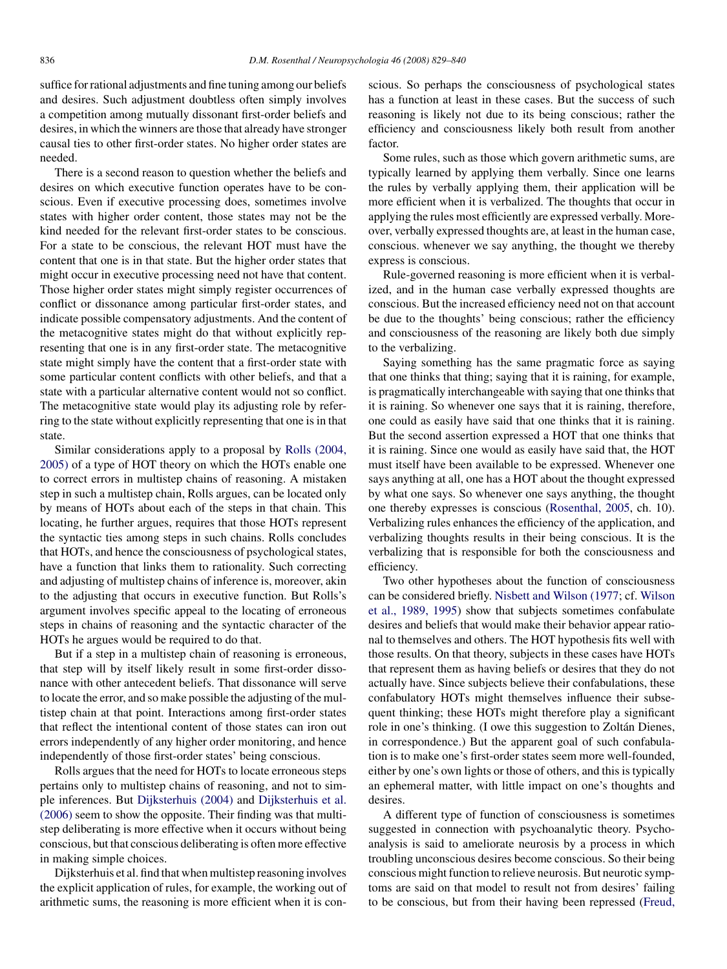suffice for rational adjustments and fine tuning among our beliefs and desires. Such adjustment doubtless often simply involves a competition among mutually dissonant first-order beliefs and desires, in which the winners are those that already have stronger causal ties to other first-order states. No higher order states are needed.

There is a second reason to question whether the beliefs and desires on which executive function operates have to be conscious. Even if executive processing does, sometimes involve states with higher order content, those states may not be the kind needed for the relevant first-order states to be conscious. For a state to be conscious, the relevant HOT must have the content that one is in that state. But the higher order states that might occur in executive processing need not have that content. Those higher order states might simply register occurrences of conflict or dissonance among particular first-order states, and indicate possible compensatory adjustments. And the content of the metacognitive states might do that without explicitly representing that one is in any first-order state. The metacognitive state might simply have the content that a first-order state with some particular content conflicts with other beliefs, and that a state with a particular alternative content would not so conflict. The metacognitive state would play its adjusting role by referring to the state without explicitly representing that one is in that state.

Similar considerations apply to a proposal by [Rolls \(2004,](#page-11-0) [2005\)](#page-11-0) of a type of HOT theory on which the HOTs enable one to correct errors in multistep chains of reasoning. A mistaken step in such a multistep chain, Rolls argues, can be located only by means of HOTs about each of the steps in that chain. This locating, he further argues, requires that those HOTs represent the syntactic ties among steps in such chains. Rolls concludes that HOTs, and hence the consciousness of psychological states, have a function that links them to rationality. Such correcting and adjusting of multistep chains of inference is, moreover, akin to the adjusting that occurs in executive function. But Rolls's argument involves specific appeal to the locating of erroneous steps in chains of reasoning and the syntactic character of the HOTs he argues would be required to do that.

But if a step in a multistep chain of reasoning is erroneous, that step will by itself likely result in some first-order dissonance with other antecedent beliefs. That dissonance will serve to locate the error, and so make possible the adjusting of the multistep chain at that point. Interactions among first-order states that reflect the intentional content of those states can iron out errors independently of any higher order monitoring, and hence independently of those first-order states' being conscious.

Rolls argues that the need for HOTs to locate erroneous steps pertains only to multistep chains of reasoning, and not to simple inferences. But [Dijksterhuis \(2004\)](#page-10-0) and [Dijksterhuis et al.](#page-10-0) [\(2006\)](#page-10-0) seem to show the opposite. Their finding was that multistep deliberating is more effective when it occurs without being conscious, but that conscious deliberating is often more effective in making simple choices.

Dijksterhuis et al. find that when multistep reasoning involves the explicit application of rules, for example, the working out of arithmetic sums, the reasoning is more efficient when it is conscious. So perhaps the consciousness of psychological states has a function at least in these cases. But the success of such reasoning is likely not due to its being conscious; rather the efficiency and consciousness likely both result from another factor.

Some rules, such as those which govern arithmetic sums, are typically learned by applying them verbally. Since one learns the rules by verbally applying them, their application will be more efficient when it is verbalized. The thoughts that occur in applying the rules most efficiently are expressed verbally. Moreover, verbally expressed thoughts are, at least in the human case, conscious. whenever we say anything, the thought we thereby express is conscious.

Rule-governed reasoning is more efficient when it is verbalized, and in the human case verbally expressed thoughts are conscious. But the increased efficiency need not on that account be due to the thoughts' being conscious; rather the efficiency and consciousness of the reasoning are likely both due simply to the verbalizing.

Saying something has the same pragmatic force as saying that one thinks that thing; saying that it is raining, for example, is pragmatically interchangeable with saying that one thinks that it is raining. So whenever one says that it is raining, therefore, one could as easily have said that one thinks that it is raining. But the second assertion expressed a HOT that one thinks that it is raining. Since one would as easily have said that, the HOT must itself have been available to be expressed. Whenever one says anything at all, one has a HOT about the thought expressed by what one says. So whenever one says anything, the thought one thereby expresses is conscious [\(Rosenthal, 2005,](#page-11-0) ch. 10). Verbalizing rules enhances the efficiency of the application, and verbalizing thoughts results in their being conscious. It is the verbalizing that is responsible for both the consciousness and efficiency.

Two other hypotheses about the function of consciousness can be considered briefly. [Nisbett and Wilson \(1977; c](#page-11-0)f. [Wilson](#page-11-0) [et al., 1989, 1995\)](#page-11-0) show that subjects sometimes confabulate desires and beliefs that would make their behavior appear rational to themselves and others. The HOT hypothesis fits well with those results. On that theory, subjects in these cases have HOTs that represent them as having beliefs or desires that they do not actually have. Since subjects believe their confabulations, these confabulatory HOTs might themselves influence their subsequent thinking; these HOTs might therefore play a significant role in one's thinking. (I owe this suggestion to Zoltán Dienes, in correspondence.) But the apparent goal of such confabulation is to make one's first-order states seem more well-founded, either by one's own lights or those of others, and this is typically an ephemeral matter, with little impact on one's thoughts and desires.

A different type of function of consciousness is sometimes suggested in connection with psychoanalytic theory. Psychoanalysis is said to ameliorate neurosis by a process in which troubling unconscious desires become conscious. So their being conscious might function to relieve neurosis. But neurotic symptoms are said on that model to result not from desires' failing to be conscious, but from their having been repressed [\(Freud,](#page-10-0)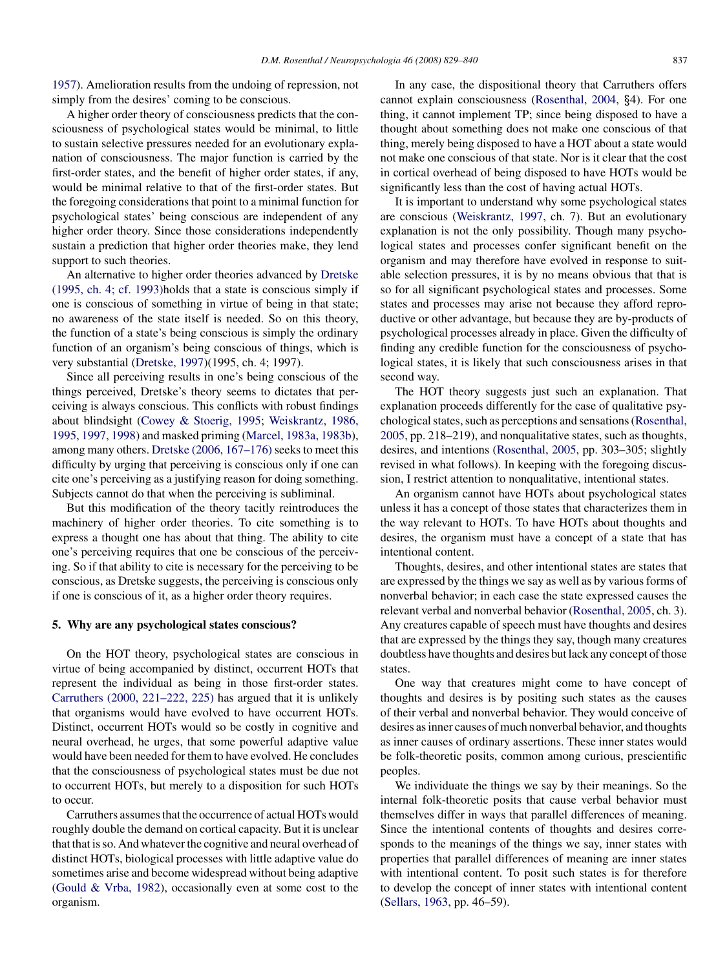[1957\).](#page-10-0) Amelioration results from the undoing of repression, not simply from the desires' coming to be conscious.

A higher order theory of consciousness predicts that the consciousness of psychological states would be minimal, to little to sustain selective pressures needed for an evolutionary explanation of consciousness. The major function is carried by the first-order states, and the benefit of higher order states, if any, would be minimal relative to that of the first-order states. But the foregoing considerations that point to a minimal function for psychological states' being conscious are independent of any higher order theory. Since those considerations independently sustain a prediction that higher order theories make, they lend support to such theories.

An alternative to higher order theories advanced by [Dretske](#page-10-0) [\(1995, ch. 4; cf. 1993\)ho](#page-10-0)lds that a state is conscious simply if one is conscious of something in virtue of being in that state; no awareness of the state itself is needed. So on this theory, the function of a state's being conscious is simply the ordinary function of an organism's being conscious of things, which is very substantial [\(Dretske, 1997\)\(](#page-10-0)1995, ch. 4; 1997).

Since all perceiving results in one's being conscious of the things perceived, Dretske's theory seems to dictates that perceiving is always conscious. This conflicts with robust findings about blindsight ([Cowey & Stoerig, 1995;](#page-10-0) [Weiskrantz, 1986,](#page-11-0) [1995, 1997, 1998\)](#page-11-0) and masked priming ([Marcel, 1983a, 1983b\),](#page-11-0) among many others. Dretske  $(2006, 167-176)$  seeks to meet this difficulty by urging that perceiving is conscious only if one can cite one's perceiving as a justifying reason for doing something. Subjects cannot do that when the perceiving is subliminal.

But this modification of the theory tacitly reintroduces the machinery of higher order theories. To cite something is to express a thought one has about that thing. The ability to cite one's perceiving requires that one be conscious of the perceiving. So if that ability to cite is necessary for the perceiving to be conscious, as Dretske suggests, the perceiving is conscious only if one is conscious of it, as a higher order theory requires.

## **5. Why are any psychological states conscious?**

On the HOT theory, psychological states are conscious in virtue of being accompanied by distinct, occurrent HOTs that represent the individual as being in those first-order states. [Carruthers \(2000, 221–222, 225\)](#page-10-0) has argued that it is unlikely that organisms would have evolved to have occurrent HOTs. Distinct, occurrent HOTs would so be costly in cognitive and neural overhead, he urges, that some powerful adaptive value would have been needed for them to have evolved. He concludes that the consciousness of psychological states must be due not to occurrent HOTs, but merely to a disposition for such HOTs to occur.

Carruthers assumes that the occurrence of actual HOTs would roughly double the demand on cortical capacity. But it is unclear that that is so. And whatever the cognitive and neural overhead of distinct HOTs, biological processes with little adaptive value do sometimes arise and become widespread without being adaptive ([Gould & Vrba, 1982\),](#page-10-0) occasionally even at some cost to the organism.

In any case, the dispositional theory that Carruthers offers cannot explain consciousness ([Rosenthal, 2004,](#page-11-0) *§*4). For one thing, it cannot implement TP; since being disposed to have a thought about something does not make one conscious of that thing, merely being disposed to have a HOT about a state would not make one conscious of that state. Nor is it clear that the cost in cortical overhead of being disposed to have HOTs would be significantly less than the cost of having actual HOTs.

It is important to understand why some psychological states are conscious ([Weiskrantz, 1997,](#page-11-0) ch. 7). But an evolutionary explanation is not the only possibility. Though many psychological states and processes confer significant benefit on the organism and may therefore have evolved in response to suitable selection pressures, it is by no means obvious that that is so for all significant psychological states and processes. Some states and processes may arise not because they afford reproductive or other advantage, but because they are by-products of psychological processes already in place. Given the difficulty of finding any credible function for the consciousness of psychological states, it is likely that such consciousness arises in that second way.

The HOT theory suggests just such an explanation. That explanation proceeds differently for the case of qualitative psychological states, such as perceptions and sensations [\(Rosenthal,](#page-11-0) [2005, p](#page-11-0)p. 218–219), and nonqualitative states, such as thoughts, desires, and intentions ([Rosenthal, 2005,](#page-11-0) pp. 303–305; slightly revised in what follows). In keeping with the foregoing discussion, I restrict attention to nonqualitative, intentional states.

An organism cannot have HOTs about psychological states unless it has a concept of those states that characterizes them in the way relevant to HOTs. To have HOTs about thoughts and desires, the organism must have a concept of a state that has intentional content.

Thoughts, desires, and other intentional states are states that are expressed by the things we say as well as by various forms of nonverbal behavior; in each case the state expressed causes the relevant verbal and nonverbal behavior [\(Rosenthal, 2005, c](#page-11-0)h. 3). Any creatures capable of speech must have thoughts and desires that are expressed by the things they say, though many creatures doubtless have thoughts and desires but lack any concept of those states.

One way that creatures might come to have concept of thoughts and desires is by positing such states as the causes of their verbal and nonverbal behavior. They would conceive of desires as inner causes of much nonverbal behavior, and thoughts as inner causes of ordinary assertions. These inner states would be folk-theoretic posits, common among curious, prescientific peoples.

We individuate the things we say by their meanings. So the internal folk-theoretic posits that cause verbal behavior must themselves differ in ways that parallel differences of meaning. Since the intentional contents of thoughts and desires corresponds to the meanings of the things we say, inner states with properties that parallel differences of meaning are inner states with intentional content. To posit such states is for therefore to develop the concept of inner states with intentional content ([Sellars, 1963, p](#page-11-0)p. 46–59).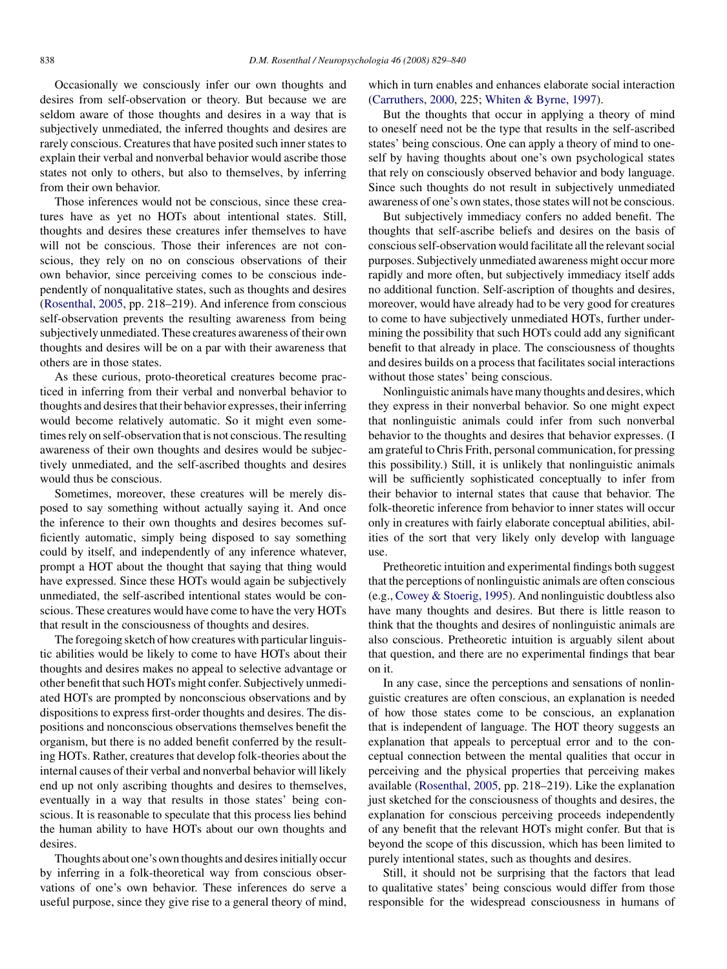Occasionally we consciously infer our own thoughts and desires from self-observation or theory. But because we are seldom aware of those thoughts and desires in a way that is subjectively unmediated, the inferred thoughts and desires are rarely conscious. Creatures that have posited such inner states to explain their verbal and nonverbal behavior would ascribe those states not only to others, but also to themselves, by inferring from their own behavior.

Those inferences would not be conscious, since these creatures have as yet no HOTs about intentional states. Still, thoughts and desires these creatures infer themselves to have will not be conscious. Those their inferences are not conscious, they rely on no on conscious observations of their own behavior, since perceiving comes to be conscious independently of nonqualitative states, such as thoughts and desires [\(Rosenthal, 2005, p](#page-11-0)p. 218–219). And inference from conscious self-observation prevents the resulting awareness from being subjectively unmediated. These creatures awareness of their own thoughts and desires will be on a par with their awareness that others are in those states.

As these curious, proto-theoretical creatures become practiced in inferring from their verbal and nonverbal behavior to thoughts and desires that their behavior expresses, their inferring would become relatively automatic. So it might even sometimes rely on self-observation that is not conscious. The resulting awareness of their own thoughts and desires would be subjectively unmediated, and the self-ascribed thoughts and desires would thus be conscious.

Sometimes, moreover, these creatures will be merely disposed to say something without actually saying it. And once the inference to their own thoughts and desires becomes sufficiently automatic, simply being disposed to say something could by itself, and independently of any inference whatever, prompt a HOT about the thought that saying that thing would have expressed. Since these HOTs would again be subjectively unmediated, the self-ascribed intentional states would be conscious. These creatures would have come to have the very HOTs that result in the consciousness of thoughts and desires.

The foregoing sketch of how creatures with particular linguistic abilities would be likely to come to have HOTs about their thoughts and desires makes no appeal to selective advantage or other benefit that such HOTs might confer. Subjectively unmediated HOTs are prompted by nonconscious observations and by dispositions to express first-order thoughts and desires. The dispositions and nonconscious observations themselves benefit the organism, but there is no added benefit conferred by the resulting HOTs. Rather, creatures that develop folk-theories about the internal causes of their verbal and nonverbal behavior will likely end up not only ascribing thoughts and desires to themselves, eventually in a way that results in those states' being conscious. It is reasonable to speculate that this process lies behind the human ability to have HOTs about our own thoughts and desires.

Thoughts about one's own thoughts and desires initially occur by inferring in a folk-theoretical way from conscious observations of one's own behavior. These inferences do serve a useful purpose, since they give rise to a general theory of mind, which in turn enables and enhances elaborate social interaction [\(Carruthers, 2000,](#page-10-0) 225; [Whiten & Byrne, 1997\).](#page-11-0)

But the thoughts that occur in applying a theory of mind to oneself need not be the type that results in the self-ascribed states' being conscious. One can apply a theory of mind to oneself by having thoughts about one's own psychological states that rely on consciously observed behavior and body language. Since such thoughts do not result in subjectively unmediated awareness of one's own states, those states will not be conscious.

But subjectively immediacy confers no added benefit. The thoughts that self-ascribe beliefs and desires on the basis of conscious self-observation would facilitate all the relevant social purposes. Subjectively unmediated awareness might occur more rapidly and more often, but subjectively immediacy itself adds no additional function. Self-ascription of thoughts and desires, moreover, would have already had to be very good for creatures to come to have subjectively unmediated HOTs, further undermining the possibility that such HOTs could add any significant benefit to that already in place. The consciousness of thoughts and desires builds on a process that facilitates social interactions without those states' being conscious.

Nonlinguistic animals have many thoughts and desires, which they express in their nonverbal behavior. So one might expect that nonlinguistic animals could infer from such nonverbal behavior to the thoughts and desires that behavior expresses. (I am grateful to Chris Frith, personal communication, for pressing this possibility.) Still, it is unlikely that nonlinguistic animals will be sufficiently sophisticated conceptually to infer from their behavior to internal states that cause that behavior. The folk-theoretic inference from behavior to inner states will occur only in creatures with fairly elaborate conceptual abilities, abilities of the sort that very likely only develop with language use.

Pretheoretic intuition and experimental findings both suggest that the perceptions of nonlinguistic animals are often conscious (e.g., [Cowey & Stoerig, 1995\).](#page-10-0) And nonlinguistic doubtless also have many thoughts and desires. But there is little reason to think that the thoughts and desires of nonlinguistic animals are also conscious. Pretheoretic intuition is arguably silent about that question, and there are no experimental findings that bear on it.

In any case, since the perceptions and sensations of nonlinguistic creatures are often conscious, an explanation is needed of how those states come to be conscious, an explanation that is independent of language. The HOT theory suggests an explanation that appeals to perceptual error and to the conceptual connection between the mental qualities that occur in perceiving and the physical properties that perceiving makes available [\(Rosenthal, 2005, p](#page-11-0)p. 218–219). Like the explanation just sketched for the consciousness of thoughts and desires, the explanation for conscious perceiving proceeds independently of any benefit that the relevant HOTs might confer. But that is beyond the scope of this discussion, which has been limited to purely intentional states, such as thoughts and desires.

Still, it should not be surprising that the factors that lead to qualitative states' being conscious would differ from those responsible for the widespread consciousness in humans of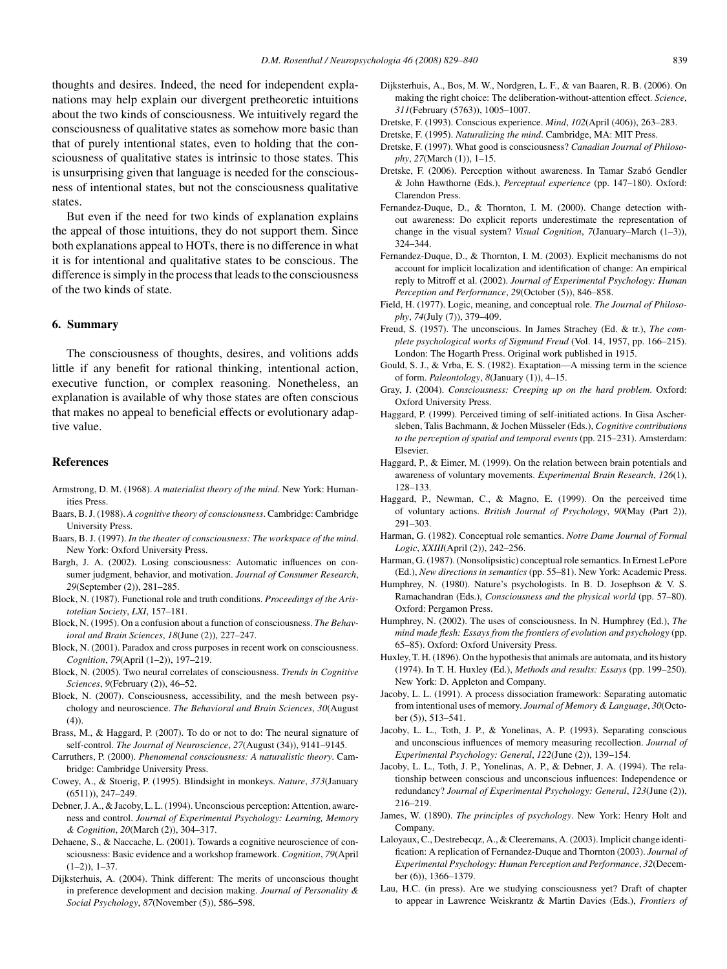<span id="page-10-0"></span>thoughts and desires. Indeed, the need for independent explanations may help explain our divergent pretheoretic intuitions about the two kinds of consciousness. We intuitively regard the consciousness of qualitative states as somehow more basic than that of purely intentional states, even to holding that the consciousness of qualitative states is intrinsic to those states. This is unsurprising given that language is needed for the consciousness of intentional states, but not the consciousness qualitative states.

But even if the need for two kinds of explanation explains the appeal of those intuitions, they do not support them. Since both explanations appeal to HOTs, there is no difference in what it is for intentional and qualitative states to be conscious. The difference is simply in the process that leads to the consciousness of the two kinds of state.

## **6. Summary**

The consciousness of thoughts, desires, and volitions adds little if any benefit for rational thinking, intentional action, executive function, or complex reasoning. Nonetheless, an explanation is available of why those states are often conscious that makes no appeal to beneficial effects or evolutionary adaptive value.

## **References**

- Armstrong, D. M. (1968). *A materialist theory of the mind*. New York: Humanities Press.
- Baars, B. J. (1988). *A cognitive theory of consciousness*. Cambridge: Cambridge University Press.
- Baars, B. J. (1997). *In the theater of consciousness: The workspace of the mind*. New York: Oxford University Press.
- Bargh, J. A. (2002). Losing consciousness: Automatic influences on consumer judgment, behavior, and motivation. *Journal of Consumer Research*, *29*(September (2)), 281–285.
- Block, N. (1987). Functional role and truth conditions. *Proceedings of the Aristotelian Society*, *LXI*, 157–181.
- Block, N. (1995). On a confusion about a function of consciousness. *The Behavioral and Brain Sciences*, *18*(June (2)), 227–247.
- Block, N. (2001). Paradox and cross purposes in recent work on consciousness. *Cognition*, *79*(April (1–2)), 197–219.
- Block, N. (2005). Two neural correlates of consciousness. *Trends in Cognitive Sciences*, *9*(February (2)), 46–52.
- Block, N. (2007). Consciousness, accessibility, and the mesh between psychology and neuroscience. *The Behavioral and Brain Sciences*, *30*(August  $(4)$ ).
- Brass, M., & Haggard, P. (2007). To do or not to do: The neural signature of self-control. *The Journal of Neuroscience*, *27*(August (34)), 9141–9145.
- Carruthers, P. (2000). *Phenomenal consciousness: A naturalistic theory*. Cambridge: Cambridge University Press.
- Cowey, A., & Stoerig, P. (1995). Blindsight in monkeys. *Nature*, *373*(January (6511)), 247–249.
- Debner, J. A., & Jacoby, L. L. (1994). Unconscious perception: Attention, awareness and control. *Journal of Experimental Psychology: Learning, Memory & Cognition*, *20*(March (2)), 304–317.
- Dehaene, S., & Naccache, L. (2001). Towards a cognitive neuroscience of consciousness: Basic evidence and a workshop framework. *Cognition*, *79*(April  $(1-2)$ ),  $1-37$ .
- Dijksterhuis, A. (2004). Think different: The merits of unconscious thought in preference development and decision making. *Journal of Personality & Social Psychology*, *87*(November (5)), 586–598.
- Dijksterhuis, A., Bos, M. W., Nordgren, L. F., & van Baaren, R. B. (2006). On making the right choice: The deliberation-without-attention effect. *Science*, *311*(February (5763)), 1005–1007.
- Dretske, F. (1993). Conscious experience. *Mind*, *102*(April (406)), 263–283.
- Dretske, F. (1995). *Naturalizing the mind*. Cambridge, MA: MIT Press.
- Dretske, F. (1997). What good is consciousness? *Canadian Journal of Philosophy*, *27*(March (1)), 1–15.
- Dretske, F. (2006). Perception without awareness. In Tamar Szabó Gendler & John Hawthorne (Eds.), *Perceptual experience* (pp. 147–180). Oxford: Clarendon Press.
- Fernandez-Duque, D., & Thornton, I. M. (2000). Change detection without awareness: Do explicit reports underestimate the representation of change in the visual system? *Visual Cognition*, *7*(January–March (1–3)), 324–344.
- Fernandez-Duque, D., & Thornton, I. M. (2003). Explicit mechanisms do not account for implicit localization and identification of change: An empirical reply to Mitroff et al. (2002). *Journal of Experimental Psychology: Human Perception and Performance*, *29*(October (5)), 846–858.
- Field, H. (1977). Logic, meaning, and conceptual role. *The Journal of Philosophy*, *74*(July (7)), 379–409.
- Freud, S. (1957). The unconscious. In James Strachey (Ed. & tr.), *The complete psychological works of Sigmund Freud* (Vol. 14, 1957, pp. 166–215). London: The Hogarth Press. Original work published in 1915.
- Gould, S. J., & Vrba, E. S. (1982). Exaptation—A missing term in the science of form. *Paleontology*, *8*(January (1)), 4–15.
- Gray, J. (2004). *Consciousness: Creeping up on the hard problem*. Oxford: Oxford University Press.
- Haggard, P. (1999). Perceived timing of self-initiated actions. In Gisa Aschersleben, Talis Bachmann, & Jochen Müsseler (Eds.), *Cognitive contributions to the perception of spatial and temporal events* (pp. 215–231). Amsterdam: Elsevier.
- Haggard, P., & Eimer, M. (1999). On the relation between brain potentials and awareness of voluntary movements. *Experimental Brain Research*, *126*(1), 128–133.
- Haggard, P., Newman, C., & Magno, E. (1999). On the perceived time of voluntary actions. *British Journal of Psychology*, *90*(May (Part 2)), 291–303.
- Harman, G. (1982). Conceptual role semantics. *Notre Dame Journal of Formal Logic*, *XXIII*(April (2)), 242–256.
- Harman, G. (1987). (Nonsolipsistic) conceptual role semantics. In Ernest LePore (Ed.), *New directions in semantics* (pp. 55–81). New York: Academic Press.
- Humphrey, N. (1980). Nature's psychologists. In B. D. Josephson & V. S. Ramachandran (Eds.), *Consciousness and the physical world* (pp. 57–80). Oxford: Pergamon Press.
- Humphrey, N. (2002). The uses of consciousness. In N. Humphrey (Ed.), *The mind made flesh: Essays from the frontiers of evolution and psychology* (pp. 65–85). Oxford: Oxford University Press.
- Huxley, T. H. (1896). On the hypothesis that animals are automata, and its history (1974). In T. H. Huxley (Ed.), *Methods and results: Essays* (pp. 199–250). New York: D. Appleton and Company.
- Jacoby, L. L. (1991). A process dissociation framework: Separating automatic from intentional uses of memory. *Journal of Memory & Language*, *30*(October (5)), 513–541.
- Jacoby, L. L., Toth, J. P., & Yonelinas, A. P. (1993). Separating conscious and unconscious influences of memory measuring recollection. *Journal of Experimental Psychology: General*, *122*(June (2)), 139–154.
- Jacoby, L. L., Toth, J. P., Yonelinas, A. P., & Debner, J. A. (1994). The relationship between conscious and unconscious influences: Independence or redundancy? *Journal of Experimental Psychology: General*, *123*(June (2)), 216–219.
- James, W. (1890). *The principles of psychology*. New York: Henry Holt and Company.
- Laloyaux, C., Destrebecqz, A., & Cleeremans, A. (2003). Implicit change identification: A replication of Fernandez-Duque and Thornton (2003). *Journal of Experimental Psychology: Human Perception and Performance*, *32*(December (6)), 1366–1379.
- Lau, H.C. (in press). Are we studying consciousness yet? Draft of chapter to appear in Lawrence Weiskrantz & Martin Davies (Eds.), *Frontiers of*